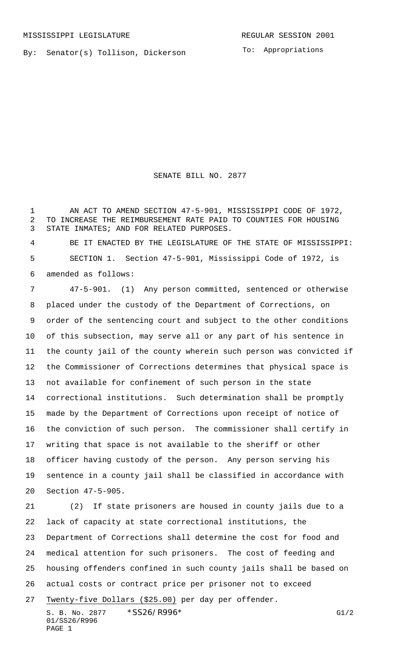By: Senator(s) Tollison, Dickerson

To: Appropriations

SENATE BILL NO. 2877

1 AN ACT TO AMEND SECTION 47-5-901, MISSISSIPPI CODE OF 1972, TO INCREASE THE REIMBURSEMENT RATE PAID TO COUNTIES FOR HOUSING STATE INMATES; AND FOR RELATED PURPOSES.

 BE IT ENACTED BY THE LEGISLATURE OF THE STATE OF MISSISSIPPI: SECTION 1. Section 47-5-901, Mississippi Code of 1972, is amended as follows:

 47-5-901. (1) Any person committed, sentenced or otherwise placed under the custody of the Department of Corrections, on order of the sentencing court and subject to the other conditions of this subsection, may serve all or any part of his sentence in the county jail of the county wherein such person was convicted if the Commissioner of Corrections determines that physical space is not available for confinement of such person in the state correctional institutions. Such determination shall be promptly made by the Department of Corrections upon receipt of notice of the conviction of such person. The commissioner shall certify in writing that space is not available to the sheriff or other officer having custody of the person. Any person serving his sentence in a county jail shall be classified in accordance with Section 47-5-905.

 (2) If state prisoners are housed in county jails due to a lack of capacity at state correctional institutions, the Department of Corrections shall determine the cost for food and medical attention for such prisoners. The cost of feeding and housing offenders confined in such county jails shall be based on actual costs or contract price per prisoner not to exceed Twenty-five Dollars (\$25.00) per day per offender.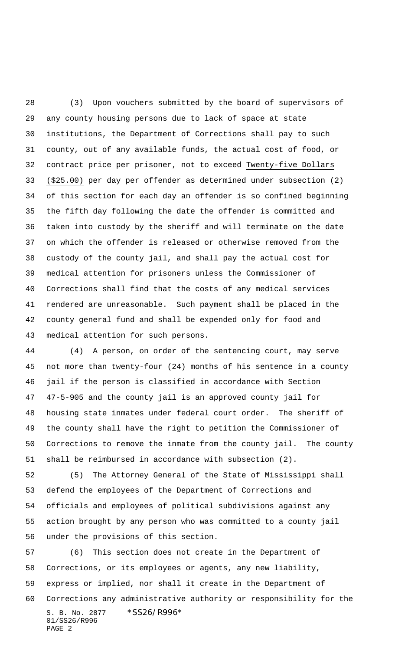(3) Upon vouchers submitted by the board of supervisors of any county housing persons due to lack of space at state institutions, the Department of Corrections shall pay to such county, out of any available funds, the actual cost of food, or contract price per prisoner, not to exceed Twenty-five Dollars (\$25.00) per day per offender as determined under subsection (2) of this section for each day an offender is so confined beginning the fifth day following the date the offender is committed and taken into custody by the sheriff and will terminate on the date on which the offender is released or otherwise removed from the custody of the county jail, and shall pay the actual cost for medical attention for prisoners unless the Commissioner of Corrections shall find that the costs of any medical services rendered are unreasonable. Such payment shall be placed in the county general fund and shall be expended only for food and medical attention for such persons.

 (4) A person, on order of the sentencing court, may serve not more than twenty-four (24) months of his sentence in a county jail if the person is classified in accordance with Section 47-5-905 and the county jail is an approved county jail for housing state inmates under federal court order. The sheriff of the county shall have the right to petition the Commissioner of Corrections to remove the inmate from the county jail. The county shall be reimbursed in accordance with subsection (2).

 (5) The Attorney General of the State of Mississippi shall defend the employees of the Department of Corrections and officials and employees of political subdivisions against any action brought by any person who was committed to a county jail under the provisions of this section.

S. B. No. 2877 \* SS26/R996\* 01/SS26/R996 PAGE 2 (6) This section does not create in the Department of Corrections, or its employees or agents, any new liability, express or implied, nor shall it create in the Department of Corrections any administrative authority or responsibility for the